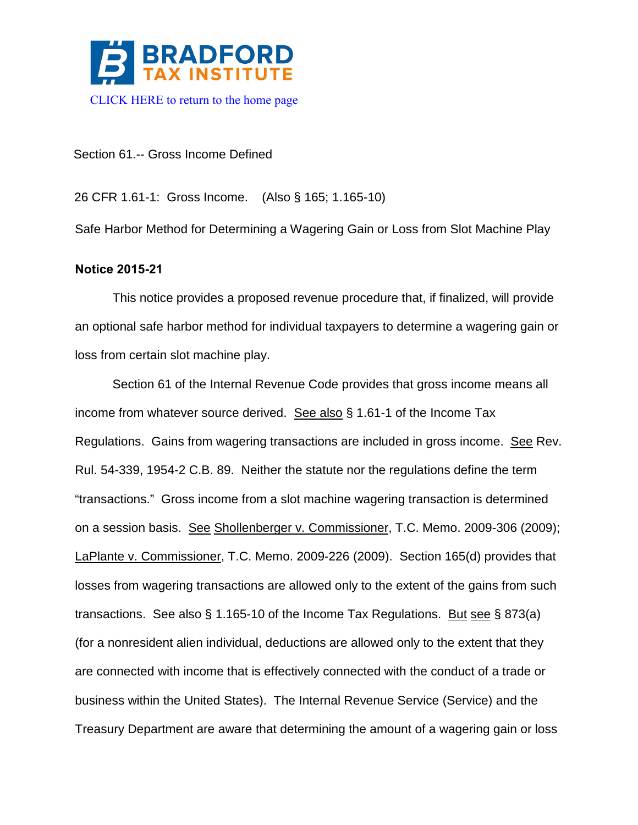

Section 61.-- Gross Income Defined

26 CFR 1.61-1: Gross Income. (Also § 165; 1.165-10)

Safe Harbor Method for Determining a Wagering Gain or Loss from Slot Machine Play

# **Notice 2015-21**

This notice provides a proposed revenue procedure that, if finalized, will provide an optional safe harbor method for individual taxpayers to determine a wagering gain or loss from certain slot machine play.

Section 61 of the Internal Revenue Code provides that gross income means all income from whatever source derived. See also § 1.61-1 of the Income Tax Regulations. Gains from wagering transactions are included in gross income. See Rev. Rul. 54-339, 1954-2 C.B. 89. Neither the statute nor the regulations define the term "transactions." Gross income from a slot machine wagering transaction is determined on a session basis. See Shollenberger v. Commissioner, T.C. Memo. 2009-306 (2009); LaPlante v. Commissioner, T.C. Memo. 2009-226 (2009). Section 165(d) provides that losses from wagering transactions are allowed only to the extent of the gains from such transactions. See also § 1.165-10 of the Income Tax Regulations. But see § 873(a) (for a nonresident alien individual, deductions are allowed only to the extent that they are connected with income that is effectively connected with the conduct of a trade or business within the United States). The Internal Revenue Service (Service) and the Treasury Department are aware that determining the amount of a wagering gain or loss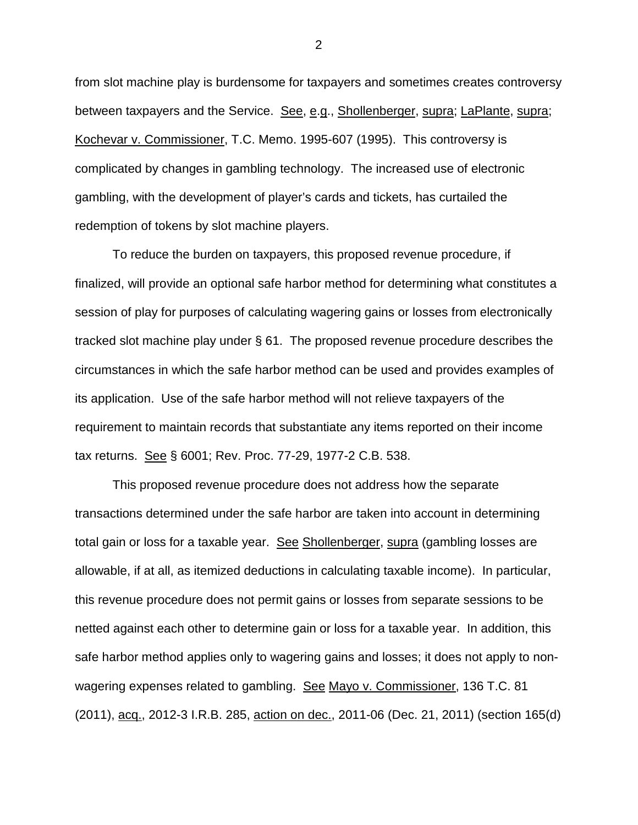from slot machine play is burdensome for taxpayers and sometimes creates controversy between taxpayers and the Service. See, e.g., Shollenberger, supra; LaPlante, supra; Kochevar v. Commissioner, T.C. Memo. 1995-607 (1995). This controversy is complicated by changes in gambling technology. The increased use of electronic gambling, with the development of player's cards and tickets, has curtailed the redemption of tokens by slot machine players.

To reduce the burden on taxpayers, this proposed revenue procedure, if finalized, will provide an optional safe harbor method for determining what constitutes a session of play for purposes of calculating wagering gains or losses from electronically tracked slot machine play under § 61. The proposed revenue procedure describes the circumstances in which the safe harbor method can be used and provides examples of its application. Use of the safe harbor method will not relieve taxpayers of the requirement to maintain records that substantiate any items reported on their income tax returns. See § 6001; Rev. Proc. 77-29, 1977-2 C.B. 538.

This proposed revenue procedure does not address how the separate transactions determined under the safe harbor are taken into account in determining total gain or loss for a taxable year. See Shollenberger, supra (gambling losses are allowable, if at all, as itemized deductions in calculating taxable income). In particular, this revenue procedure does not permit gains or losses from separate sessions to be netted against each other to determine gain or loss for a taxable year. In addition, this safe harbor method applies only to wagering gains and losses; it does not apply to nonwagering expenses related to gambling. See Mayo v. Commissioner, 136 T.C. 81 (2011), acq., 2012-3 I.R.B. 285, action on dec., 2011-06 (Dec. 21, 2011) (section 165(d)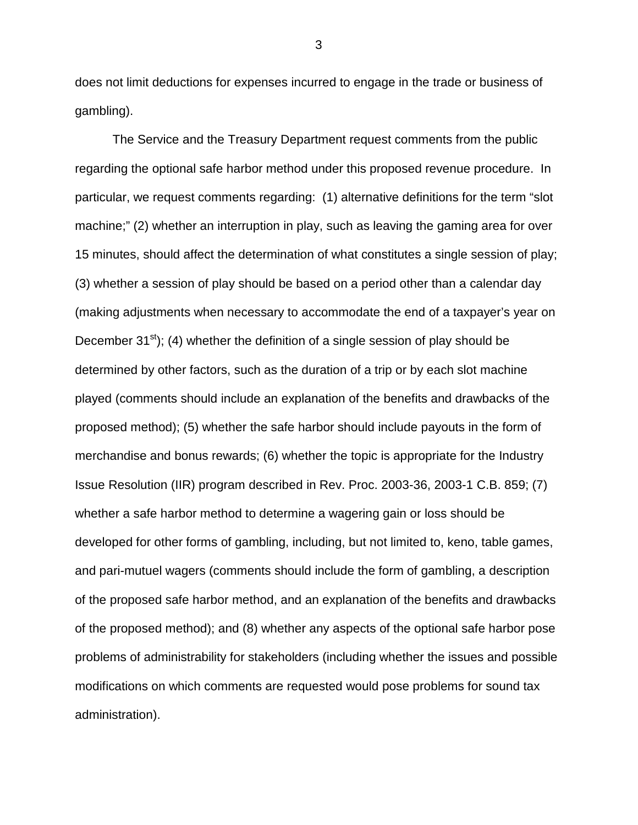does not limit deductions for expenses incurred to engage in the trade or business of gambling).

The Service and the Treasury Department request comments from the public regarding the optional safe harbor method under this proposed revenue procedure. In particular, we request comments regarding: (1) alternative definitions for the term "slot machine;" (2) whether an interruption in play, such as leaving the gaming area for over 15 minutes, should affect the determination of what constitutes a single session of play; (3) whether a session of play should be based on a period other than a calendar day (making adjustments when necessary to accommodate the end of a taxpayer's year on December  $31^{st}$ ); (4) whether the definition of a single session of play should be determined by other factors, such as the duration of a trip or by each slot machine played (comments should include an explanation of the benefits and drawbacks of the proposed method); (5) whether the safe harbor should include payouts in the form of merchandise and bonus rewards; (6) whether the topic is appropriate for the Industry Issue Resolution (IIR) program described in Rev. Proc. 2003-36, 2003-1 C.B. 859; (7) whether a safe harbor method to determine a wagering gain or loss should be developed for other forms of gambling, including, but not limited to, keno, table games, and pari-mutuel wagers (comments should include the form of gambling, a description of the proposed safe harbor method, and an explanation of the benefits and drawbacks of the proposed method); and (8) whether any aspects of the optional safe harbor pose problems of administrability for stakeholders (including whether the issues and possible modifications on which comments are requested would pose problems for sound tax administration).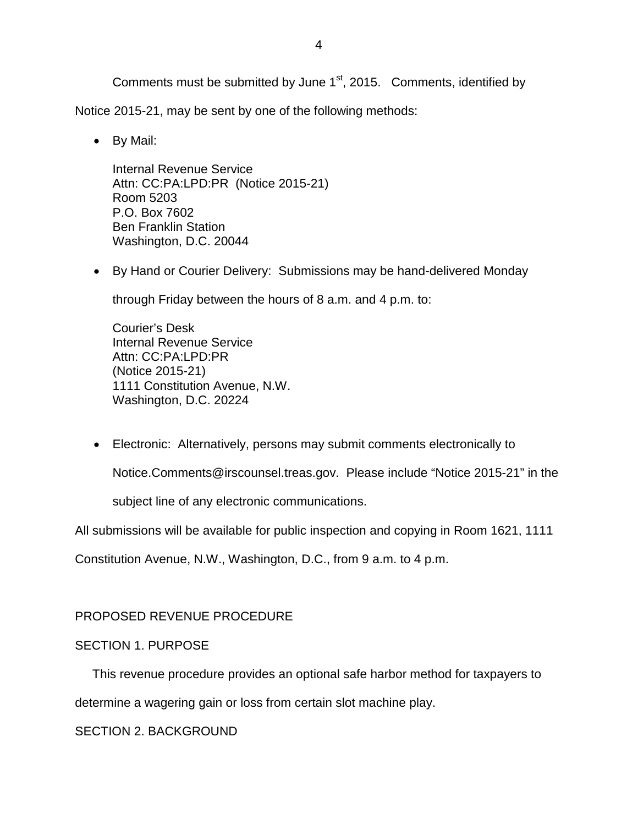Comments must be submitted by June 1<sup>st</sup>, 2015. Comments, identified by

Notice 2015-21, may be sent by one of the following methods:

• By Mail:

Internal Revenue Service Attn: CC:PA:LPD:PR (Notice 2015-21) Room 5203 P.O. Box 7602 Ben Franklin Station Washington, D.C. 20044

• By Hand or Courier Delivery: Submissions may be hand-delivered Monday

through Friday between the hours of 8 a.m. and 4 p.m. to:

Courier's Desk Internal Revenue Service Attn: CC:PA:LPD:PR (Notice 2015-21) 1111 Constitution Avenue, N.W. Washington, D.C. 20224

• Electronic: Alternatively, persons may submit comments electronically to

Notice.Comments@irscounsel.treas.gov. Please include "Notice 2015-21" in the

subject line of any electronic communications.

All submissions will be available for public inspection and copying in Room 1621, 1111

Constitution Avenue, N.W., Washington, D.C., from 9 a.m. to 4 p.m.

# PROPOSED REVENUE PROCEDURE

# SECTION 1. PURPOSE

This revenue procedure provides an optional safe harbor method for taxpayers to

determine a wagering gain or loss from certain slot machine play.

SECTION 2. BACKGROUND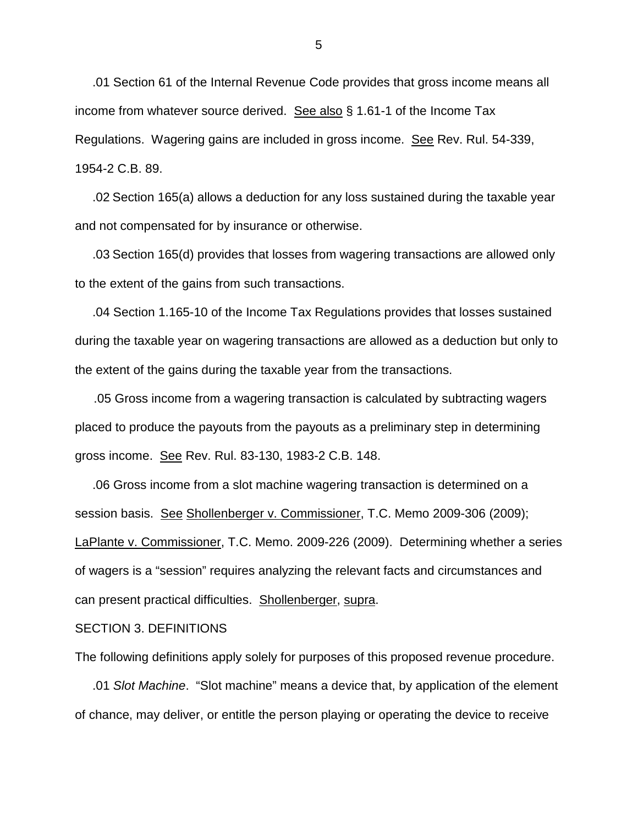.01 Section 61 of the Internal Revenue Code provides that gross income means all income from whatever source derived. See also § 1.61-1 of the Income Tax Regulations. Wagering gains are included in gross income. See Rev. Rul. 54-339, 1954-2 C.B. 89.

 .02 Section 165(a) allows a deduction for any loss sustained during the taxable year and not compensated for by insurance or otherwise.

 .03 Section 165(d) provides that losses from wagering transactions are allowed only to the extent of the gains from such transactions.

 .04 Section 1.165-10 of the Income Tax Regulations provides that losses sustained during the taxable year on wagering transactions are allowed as a deduction but only to the extent of the gains during the taxable year from the transactions.

.05 Gross income from a wagering transaction is calculated by subtracting wagers placed to produce the payouts from the payouts as a preliminary step in determining gross income. See Rev. Rul. 83-130, 1983-2 C.B. 148.

 .06 Gross income from a slot machine wagering transaction is determined on a session basis. See Shollenberger v. Commissioner, T.C. Memo 2009-306 (2009); LaPlante v. Commissioner, T.C. Memo. 2009-226 (2009). Determining whether a series of wagers is a "session" requires analyzing the relevant facts and circumstances and can present practical difficulties. Shollenberger, supra.

### SECTION 3. DEFINITIONS

The following definitions apply solely for purposes of this proposed revenue procedure.

 .01 *Slot Machine*. "Slot machine" means a device that, by application of the element of chance, may deliver, or entitle the person playing or operating the device to receive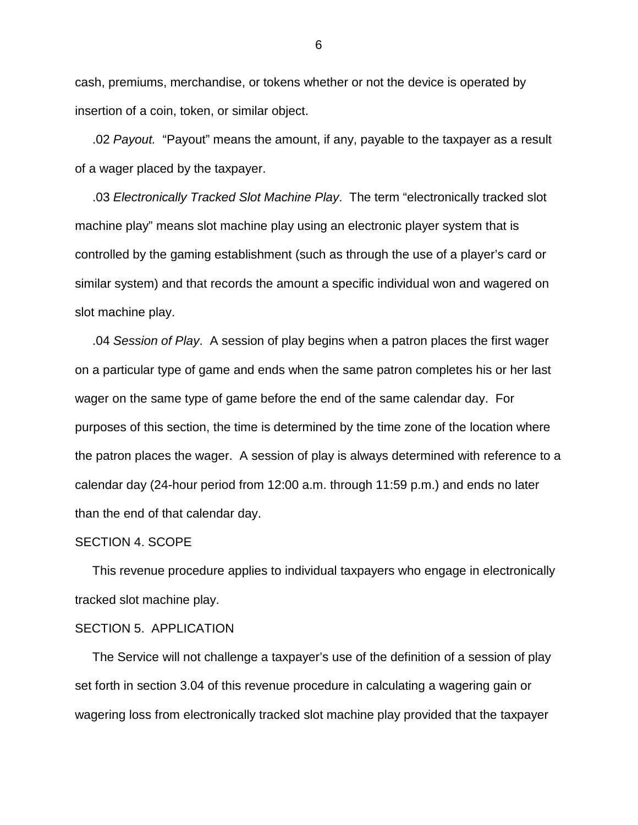cash, premiums, merchandise, or tokens whether or not the device is operated by insertion of a coin, token, or similar object.

 .02 *Payout.* "Payout" means the amount, if any, payable to the taxpayer as a result of a wager placed by the taxpayer.

 .03 *Electronically Tracked Slot Machine Play*. The term "electronically tracked slot machine play" means slot machine play using an electronic player system that is controlled by the gaming establishment (such as through the use of a player's card or similar system) and that records the amount a specific individual won and wagered on slot machine play.

 .04 *Session of Play*. A session of play begins when a patron places the first wager on a particular type of game and ends when the same patron completes his or her last wager on the same type of game before the end of the same calendar day. For purposes of this section, the time is determined by the time zone of the location where the patron places the wager. A session of play is always determined with reference to a calendar day (24-hour period from 12:00 a.m. through 11:59 p.m.) and ends no later than the end of that calendar day.

#### SECTION 4. SCOPE

 This revenue procedure applies to individual taxpayers who engage in electronically tracked slot machine play.

### SECTION 5. APPLICATION

 The Service will not challenge a taxpayer's use of the definition of a session of play set forth in section 3.04 of this revenue procedure in calculating a wagering gain or wagering loss from electronically tracked slot machine play provided that the taxpayer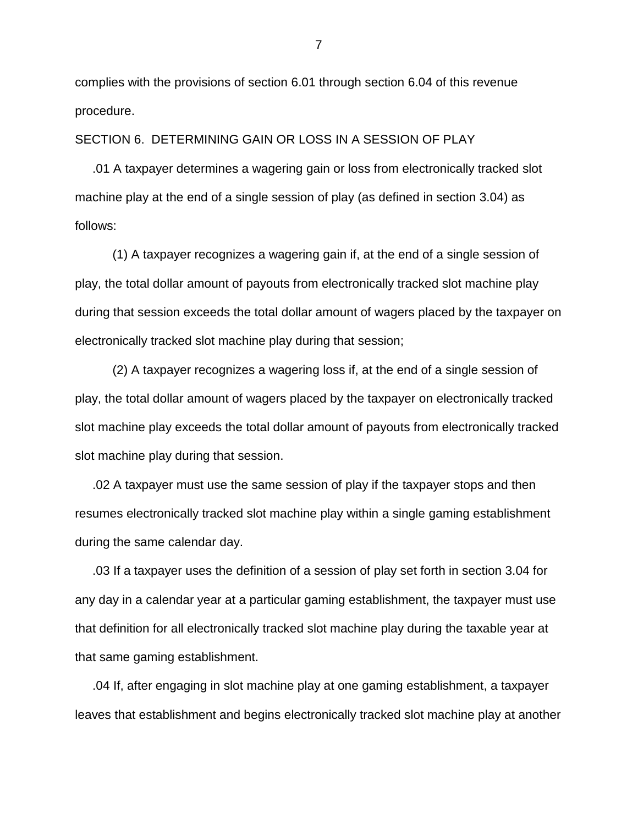complies with the provisions of section 6.01 through section 6.04 of this revenue procedure.

## SECTION 6. DETERMINING GAIN OR LOSS IN A SESSION OF PLAY

 .01 A taxpayer determines a wagering gain or loss from electronically tracked slot machine play at the end of a single session of play (as defined in section 3.04) as follows:

 (1) A taxpayer recognizes a wagering gain if, at the end of a single session of play, the total dollar amount of payouts from electronically tracked slot machine play during that session exceeds the total dollar amount of wagers placed by the taxpayer on electronically tracked slot machine play during that session;

(2) A taxpayer recognizes a wagering loss if, at the end of a single session of play, the total dollar amount of wagers placed by the taxpayer on electronically tracked slot machine play exceeds the total dollar amount of payouts from electronically tracked slot machine play during that session.

 .02 A taxpayer must use the same session of play if the taxpayer stops and then resumes electronically tracked slot machine play within a single gaming establishment during the same calendar day.

 .03 If a taxpayer uses the definition of a session of play set forth in section 3.04 for any day in a calendar year at a particular gaming establishment, the taxpayer must use that definition for all electronically tracked slot machine play during the taxable year at that same gaming establishment.

 .04 If, after engaging in slot machine play at one gaming establishment, a taxpayer leaves that establishment and begins electronically tracked slot machine play at another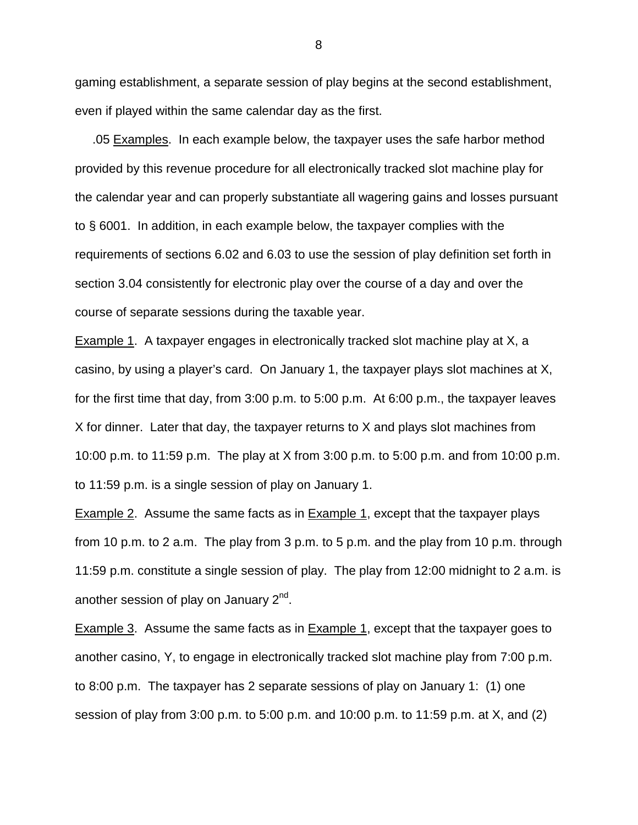gaming establishment, a separate session of play begins at the second establishment, even if played within the same calendar day as the first.

 .05 Examples. In each example below, the taxpayer uses the safe harbor method provided by this revenue procedure for all electronically tracked slot machine play for the calendar year and can properly substantiate all wagering gains and losses pursuant to § 6001. In addition, in each example below, the taxpayer complies with the requirements of sections 6.02 and 6.03 to use the session of play definition set forth in section 3.04 consistently for electronic play over the course of a day and over the course of separate sessions during the taxable year.

Example 1. A taxpayer engages in electronically tracked slot machine play at X, a casino, by using a player's card. On January 1, the taxpayer plays slot machines at X, for the first time that day, from 3:00 p.m. to 5:00 p.m. At 6:00 p.m., the taxpayer leaves X for dinner. Later that day, the taxpayer returns to X and plays slot machines from 10:00 p.m. to 11:59 p.m. The play at X from 3:00 p.m. to 5:00 p.m. and from 10:00 p.m. to 11:59 p.m. is a single session of play on January 1.

Example 2. Assume the same facts as in Example 1, except that the taxpayer plays from 10 p.m. to 2 a.m. The play from 3 p.m. to 5 p.m. and the play from 10 p.m. through 11:59 p.m. constitute a single session of play. The play from 12:00 midnight to 2 a.m. is another session of play on January 2<sup>nd</sup>.

Example 3. Assume the same facts as in Example 1, except that the taxpayer goes to another casino, Y, to engage in electronically tracked slot machine play from 7:00 p.m. to 8:00 p.m. The taxpayer has 2 separate sessions of play on January 1: (1) one session of play from 3:00 p.m. to 5:00 p.m. and 10:00 p.m. to 11:59 p.m. at X, and (2)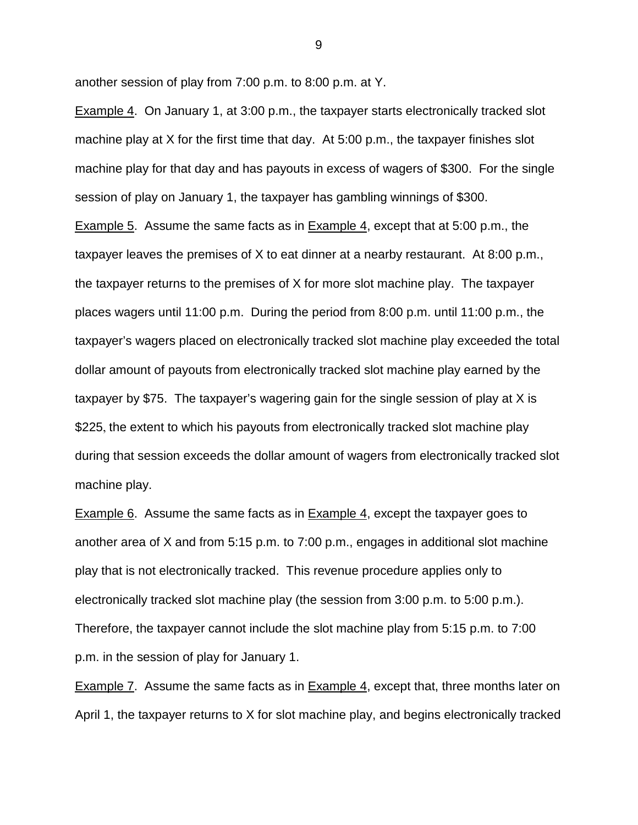another session of play from 7:00 p.m. to 8:00 p.m. at Y.

Example 4. On January 1, at 3:00 p.m., the taxpayer starts electronically tracked slot machine play at X for the first time that day. At 5:00 p.m., the taxpayer finishes slot machine play for that day and has payouts in excess of wagers of \$300. For the single session of play on January 1, the taxpayer has gambling winnings of \$300. Example 5. Assume the same facts as in Example 4, except that at 5:00 p.m., the taxpayer leaves the premises of X to eat dinner at a nearby restaurant. At 8:00 p.m., the taxpayer returns to the premises of X for more slot machine play. The taxpayer places wagers until 11:00 p.m. During the period from 8:00 p.m. until 11:00 p.m., the taxpayer's wagers placed on electronically tracked slot machine play exceeded the total dollar amount of payouts from electronically tracked slot machine play earned by the taxpayer by \$75. The taxpayer's wagering gain for the single session of play at X is \$225, the extent to which his payouts from electronically tracked slot machine play during that session exceeds the dollar amount of wagers from electronically tracked slot machine play.

Example 6. Assume the same facts as in Example 4, except the taxpayer goes to another area of X and from 5:15 p.m. to 7:00 p.m., engages in additional slot machine play that is not electronically tracked. This revenue procedure applies only to electronically tracked slot machine play (the session from 3:00 p.m. to 5:00 p.m.). Therefore, the taxpayer cannot include the slot machine play from 5:15 p.m. to 7:00 p.m. in the session of play for January 1.

Example 7. Assume the same facts as in Example 4, except that, three months later on April 1, the taxpayer returns to X for slot machine play, and begins electronically tracked